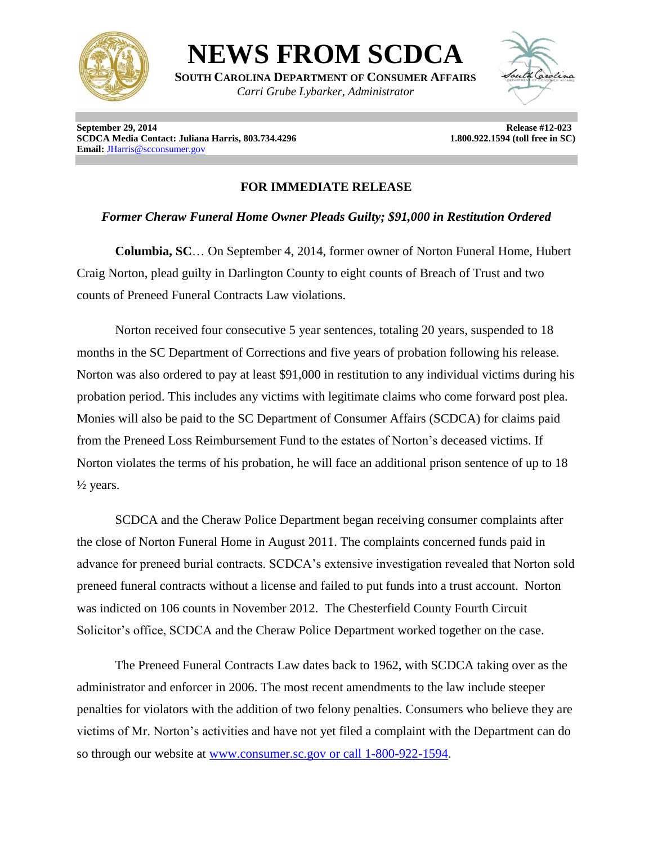

**NEWS FROM SCDCA**

**SOUTH CAROLINA DEPARTMENT OF CONSUMER AFFAIRS** *Carri Grube Lybarker, Administrator*



**September 29, 2014** Release #12-023 **SCDCA Media Contact: Juliana Harris, 803.734.4296** 1.800.922.1594 (toll free in SC) **Email:** [JHarris@scconsumer.gov](mailto:JHarris@scconsumer.gov)

## **FOR IMMEDIATE RELEASE**

## *Former Cheraw Funeral Home Owner Pleads Guilty; \$91,000 in Restitution Ordered*

**Columbia, SC**… On September 4, 2014, former owner of Norton Funeral Home, Hubert Craig Norton, plead guilty in Darlington County to eight counts of Breach of Trust and two counts of Preneed Funeral Contracts Law violations.

Norton received four consecutive 5 year sentences, totaling 20 years, suspended to 18 months in the SC Department of Corrections and five years of probation following his release. Norton was also ordered to pay at least \$91,000 in restitution to any individual victims during his probation period. This includes any victims with legitimate claims who come forward post plea. Monies will also be paid to the SC Department of Consumer Affairs (SCDCA) for claims paid from the Preneed Loss Reimbursement Fund to the estates of Norton's deceased victims. If Norton violates the terms of his probation, he will face an additional prison sentence of up to 18  $\frac{1}{2}$  years.

SCDCA and the Cheraw Police Department began receiving consumer complaints after the close of Norton Funeral Home in August 2011. The complaints concerned funds paid in advance for preneed burial contracts. SCDCA's extensive investigation revealed that Norton sold preneed funeral contracts without a license and failed to put funds into a trust account. Norton was indicted on 106 counts in November 2012. The Chesterfield County Fourth Circuit Solicitor's office, SCDCA and the Cheraw Police Department worked together on the case.

The Preneed Funeral Contracts Law dates back to 1962, with SCDCA taking over as the administrator and enforcer in 2006. The most recent amendments to the law include steeper penalties for violators with the addition of two felony penalties. Consumers who believe they are victims of Mr. Norton's activities and have not yet filed a complaint with the Department can do so through our website at [www.consumer.sc.gov](http://www.consumer.sc.gov/) or call 1-800-922-1594.